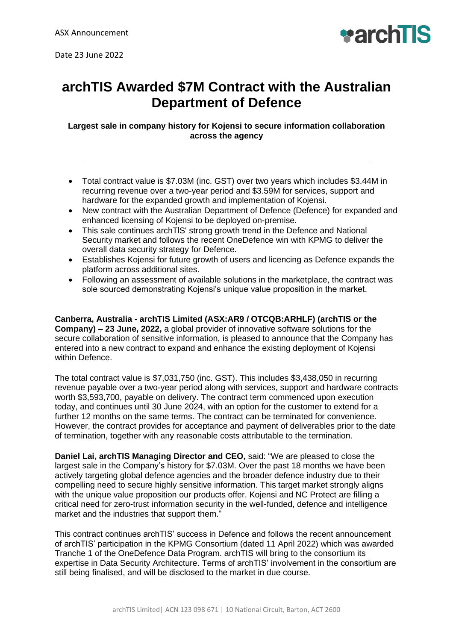

## **archTIS Awarded \$7M Contract with the Australian Department of Defence**

**Largest sale in company history for Kojensi to secure information collaboration across the agency**

- Total contract value is \$7.03M (inc. GST) over two years which includes \$3.44M in recurring revenue over a two-year period and \$3.59M for services, support and hardware for the expanded growth and implementation of Kojensi.
- New contract with the Australian Department of Defence (Defence) for expanded and enhanced licensing of Kojensi to be deployed on-premise.
- This sale continues archTlS' strong growth trend in the Defence and National Security market and follows the recent OneDefence win with KPMG to deliver the overall data security strategy for Defence.
- Establishes Kojensi for future growth of users and licencing as Defence expands the platform across additional sites.
- Following an assessment of available solutions in the marketplace, the contract was sole sourced demonstrating Kojensi's unique value proposition in the market.

**Canberra, Australia - archTIS Limited (ASX:AR9 / OTCQB:ARHLF) (archTIS or the Company) – 23 June, 2022,** a global provider of innovative software solutions for the secure collaboration of sensitive information, is pleased to announce that the Company has entered into a new contract to expand and enhance the existing deployment of Kojensi within Defence.

The total contract value is \$7,031,750 (inc. GST). This includes \$3,438,050 in recurring revenue payable over a two-year period along with services, support and hardware contracts worth \$3,593,700, payable on delivery. The contract term commenced upon execution today, and continues until 30 June 2024, with an option for the customer to extend for a further 12 months on the same terms. The contract can be terminated for convenience. However, the contract provides for acceptance and payment of deliverables prior to the date of termination, together with any reasonable costs attributable to the termination.

**Daniel Lai, archTIS Managing Director and CEO,** said: "We are pleased to close the largest sale in the Company's history for \$7.03M. Over the past 18 months we have been actively targeting global defence agencies and the broader defence industry due to their compelling need to secure highly sensitive information. This target market strongly aligns with the unique value proposition our products offer. Kojensi and NC Protect are filling a critical need for zero-trust information security in the well-funded, defence and intelligence market and the industries that support them."

This contract continues archTIS' success in Defence and follows the recent announcement of archTIS' participation in the KPMG Consortium (dated 11 April 2022) which was awarded Tranche 1 of the OneDefence Data Program. archTIS will bring to the consortium its expertise in Data Security Architecture. Terms of archTIS' involvement in the consortium are still being finalised, and will be disclosed to the market in due course.